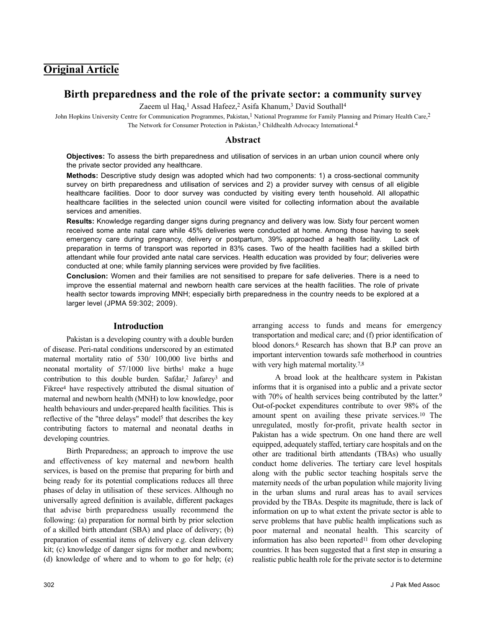# **Original Article**

## **Birth preparedness and the role of the private sector: a community survey**

Zaeem ul Haq,<sup>1</sup> Assad Hafeez,<sup>2</sup> Asifa Khanum,<sup>3</sup> David Southall<sup>4</sup>

John Hopkins University Centre for Communication Programmes, Pakistan,<sup>1</sup> National Programme for Family Planning and Primary Health Care,<sup>2</sup> The Network for Consumer Protection in Pakistan,<sup>3</sup> Childhealth Advocacy International.<sup>4</sup>

#### **Abstract**

**Objectives:** To assess the birth preparedness and utilisation of services in an urban union council where only the private sector provided any healthcare.

**Methods:** Descriptive study design was adopted which had two components: 1) a cross-sectional community survey on birth preparedness and utilisation of services and 2) a provider survey with census of all eligible healthcare facilities. Door to door survey was conducted by visiting every tenth household. All allopathic healthcare facilities in the selected union council were visited for collecting information about the available services and amenities.

**Results:** Knowledge regarding danger signs during pregnancy and delivery was low. Sixty four percent women received some ante natal care while 45% deliveries were conducted at home. Among those having to seek emergency care during pregnancy, delivery or postpartum, 39% approached a health facility. Lack of preparation in terms of transport was reported in 83% cases. Two of the health facilities had a skilled birth attendant while four provided ante natal care services. Health education was provided by four; deliveries were conducted at one; while family planning services were provided by five facilities.

**Conclusion:** Women and their families are not sensitised to prepare for safe deliveries. There is a need to improve the essential maternal and newborn health care services at the health facilities. The role of private health sector towards improving MNH; especially birth preparedness in the country needs to be explored at a larger level (JPMA 59:302; 2009).

#### **Introduction**

Pakistan is a developing country with a double burden of disease. Peri-natal conditions underscored by an estimated maternal mortality ratio of 530/ 100,000 live births and neonatal mortality of 57/1000 live births<sup>1</sup> make a huge contribution to this double burden. Safdar,<sup>2</sup> Jafarey<sup>3</sup> and Fikree<sup>4</sup> have respectively attributed the dismal situation of maternal and newborn health (MNH) to low knowledge, poor health behaviours and under-prepared health facilities. This is reflective of the "three delays" model<sup>5</sup> that describes the key contributing factors to maternal and neonatal deaths in developing countries.

Birth Preparedness; an approach to improve the use and effectiveness of key maternal and newborn health services, is based on the premise that preparing for birth and being ready for its potential complications reduces all three phases of delay in utilisation of these services. Although no universally agreed definition is available, different packages that advise birth preparedness usually recommend the following: (a) preparation for normal birth by prior selection of a skilled birth attendant (SBA) and place of delivery; (b) preparation of essential items of delivery e.g. clean delivery kit; (c) knowledge of danger signs for mother and newborn; (d) knowledge of where and to whom to go for help; (e)

arranging access to funds and means for emergency transportation and medical care; and (f) prior identification of blood donors.<sup>6</sup> Research has shown that B.P can prove an important intervention towards safe motherhood in countries with very high maternal mortality.<sup>7,8</sup>

A broad look at the healthcare system in Pakistan informs that it is organised into a public and a private sector with 70% of health services being contributed by the latter.<sup>9</sup> Out-of-pocket expenditures contribute to over 98% of the amount spent on availing these private services.<sup>10</sup> The unregulated, mostly for-profit, private health sector in Pakistan has a wide spectrum. On one hand there are well equipped, adequately staffed, tertiary care hospitals and on the other are traditional birth attendants (TBAs) who usually conduct home deliveries. The tertiary care level hospitals along with the public sector teaching hospitals serve the maternity needs of the urban population while majority living in the urban slums and rural areas has to avail services provided by the TBAs. Despite its magnitude, there is lack of information on up to what extent the private sector is able to serve problems that have public health implications such as poor maternal and neonatal health. This scarcity of information has also been reported<sup>11</sup> from other developing countries. It has been suggested that a first step in ensuring a realistic public health role for the private sector is to determine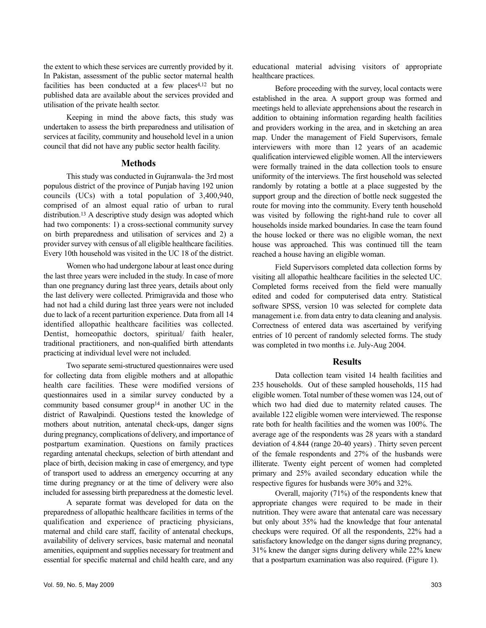the extent to which these services are currently provided by it. In Pakistan, assessment of the public sector maternal health facilities has been conducted at a few places4,12 but no published data are available about the services provided and utilisation of the private health sector.

Keeping in mind the above facts, this study was undertaken to assess the birth preparedness and utilisation of services at facility, community and household level in a union council that did not have any public sector health facility.

#### **Methods**

This study was conducted in Gujranwala- the 3rd most populous district of the province of Punjab having 192 union councils (UCs) with a total population of 3,400,940, comprised of an almost equal ratio of urban to rural distribution.<sup>13</sup> A descriptive study design was adopted which had two components: 1) a cross-sectional community survey on birth preparedness and utilisation of services and 2) a provider survey with census of all eligible healthcare facilities. Every 10th household was visited in the UC 18 of the district.

Women who had undergone labour at least once during the last three years were included in the study. In case of more than one pregnancy during last three years, details about only the last delivery were collected. Primigravida and those who had not had a child during last three years were not included due to lack of a recent parturition experience. Data from all 14 identified allopathic healthcare facilities was collected. Dentist, homeopathic doctors, spiritual/ faith healer, traditional practitioners, and non-qualified birth attendants practicing at individual level were not included.

Two separate semi-structured questionnaires were used for collecting data from eligible mothers and at allopathic health care facilities. These were modified versions of questionnaires used in a similar survey conducted by a community based consumer group<sup>14</sup> in another UC in the district of Rawalpindi. Questions tested the knowledge of mothers about nutrition, antenatal check-ups, danger signs during pregnancy, complications of delivery, and importance of postpartum examination. Questions on family practices regarding antenatal checkups, selection of birth attendant and place of birth, decision making in case of emergency, and type of transport used to address an emergency occurring at any time during pregnancy or at the time of delivery were also included for assessing birth preparedness at the domestic level.

A separate format was developed for data on the preparedness of allopathic healthcare facilities in terms of the qualification and experience of practicing physicians, maternal and child care staff, facility of antenatal checkups, availability of delivery services, basic maternal and neonatal amenities, equipment and supplies necessary for treatment and essential for specific maternal and child health care, and any

educational material advising visitors of appropriate healthcare practices.

Before proceeding with the survey, local contacts were established in the area. A support group was formed and meetings held to alleviate apprehensions about the research in addition to obtaining information regarding health facilities and providers working in the area, and in sketching an area map. Under the management of Field Supervisors, female interviewers with more than 12 years of an academic qualification interviewed eligible women. All the interviewers were formally trained in the data collection tools to ensure uniformity of the interviews. The first household was selected randomly by rotating a bottle at a place suggested by the support group and the direction of bottle neck suggested the route for moving into the community. Every tenth household was visited by following the right-hand rule to cover all households inside marked boundaries. In case the team found the house locked or there was no eligible woman, the next house was approached. This was continued till the team reached a house having an eligible woman.

Field Supervisors completed data collection forms by visiting all allopathic healthcare facilities in the selected UC. Completed forms received from the field were manually edited and coded for computerised data entry. Statistical software SPSS, version 10 was selected for complete data management i.e. from data entry to data cleaning and analysis. Correctness of entered data was ascertained by verifying entries of 10 percent of randomly selected forms. The study was completed in two months i.e. July-Aug 2004.

### **Results**

Data collection team visited 14 health facilities and 235 households. Out of these sampled households, 115 had eligible women. Total number of these women was 124, out of which two had died due to maternity related causes. The available 122 eligible women were interviewed. The response rate both for health facilities and the women was 100%. The average age of the respondents was 28 years with a standard deviation of 4.844 (range 20-40 years) . Thirty seven percent of the female respondents and 27% of the husbands were illiterate. Twenty eight percent of women had completed primary and 25% availed secondary education while the respective figures for husbands were 30% and 32%.

Overall, majority (71%) of the respondents knew that appropriate changes were required to be made in their nutrition. They were aware that antenatal care was necessary but only about 35% had the knowledge that four antenatal checkups were required. Of all the respondents, 22% had a satisfactory knowledge on the danger signs during pregnancy, 31% knew the danger signs during delivery while 22% knew that a postpartum examination was also required. (Figure 1).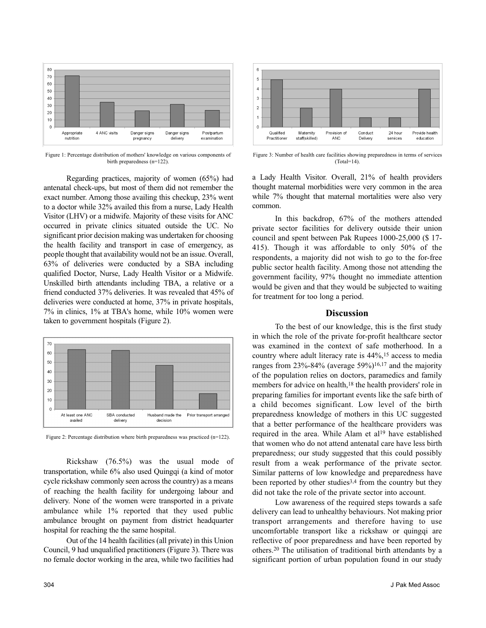

Figure 1: Percentage distribution of mothers' knowledge on various components of birth preparedness (n=122).

Regarding practices, majority of women (65%) had antenatal check-ups, but most of them did not remember the exact number. Among those availing this checkup, 23% went to a doctor while 32% availed this from a nurse, Lady Health Visitor (LHV) or a midwife. Majority of these visits for ANC occurred in private clinics situated outside the UC. No significant prior decision making was undertaken for choosing the health facility and transport in case of emergency, as people thought that availability would not be an issue. Overall, 63% of deliveries were conducted by a SBA including qualified Doctor, Nurse, Lady Health Visitor or a Midwife. Unskilled birth attendants including TBA, a relative or a friend conducted 37% deliveries. It was revealed that 45% of deliveries were conducted at home, 37% in private hospitals, 7% in clinics, 1% at TBA's home, while 10% women were taken to government hospitals (Figure 2).



Figure 2: Percentage distribution where birth preparedness was practiced (n=122).

Rickshaw (76.5%) was the usual mode of transportation, while 6% also used Quingqi (a kind of motor cycle rickshaw commonly seen across the country) as a means of reaching the health facility for undergoing labour and delivery. None of the women were transported in a private ambulance while 1% reported that they used public ambulance brought on payment from district headquarter hospital for reaching the the same hospital.

Out of the 14 health facilities (all private) in this Union Council, 9 had unqualified practitioners (Figure 3). There was no female doctor working in the area, while two facilities had



Figure 3: Number of health care facilities showing preparedness in terms of services  $(Total=14)$ .

a Lady Health Visitor. Overall, 21% of health providers thought maternal morbidities were very common in the area while 7% thought that maternal mortalities were also very common.

In this backdrop, 67% of the mothers attended private sector facilities for delivery outside their union council and spent between Pak Rupees 1000-25,000 (\$ 17- 415). Though it was affordable to only 50% of the respondents, a majority did not wish to go to the for-free public sector health facility. Among those not attending the government facility, 97% thought no immediate attention would be given and that they would be subjected to waiting for treatment for too long a period.

#### **Discussion**

To the best of our knowledge, this is the first study in which the role of the private for-profit healthcare sector was examined in the context of safe motherhood. In a country where adult literacy rate is 44%,<sup>15</sup> access to media ranges from 23%-84% (average 59%)16,17 and the majority of the population relies on doctors, paramedics and family members for advice on health,<sup>18</sup> the health providers' role in preparing families for important events like the safe birth of a child becomes significant. Low level of the birth preparedness knowledge of mothers in this UC suggested that a better performance of the healthcare providers was required in the area. While Alam et al<sup>19</sup> have established that women who do not attend antenatal care have less birth preparedness; our study suggested that this could possibly result from a weak performance of the private sector. Similar patterns of low knowledge and preparedness have been reported by other studies<sup>3,4</sup> from the country but they did not take the role of the private sector into account.

Low awareness of the required steps towards a safe delivery can lead to unhealthy behaviours. Not making prior transport arrangements and therefore having to use uncomfortable transport like a rickshaw or quingqi are reflective of poor preparedness and have been reported by others.<sup>20</sup> The utilisation of traditional birth attendants by a significant portion of urban population found in our study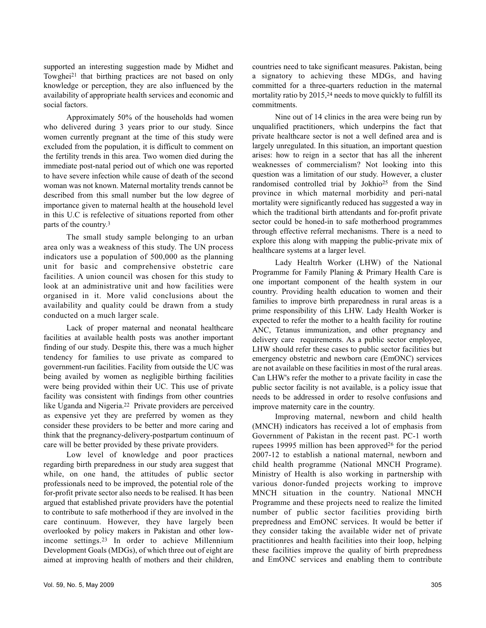supported an interesting suggestion made by Midhet and Towghei<sup>21</sup> that birthing practices are not based on only knowledge or perception, they are also influenced by the availability of appropriate health services and economic and social factors.

Approximately 50% of the households had women who delivered during 3 years prior to our study. Since women currently pregnant at the time of this study were excluded from the population, it is difficult to comment on the fertility trends in this area. Two women died during the immediate post-natal period out of which one was reported to have severe infection while cause of death of the second woman was not known. Maternal mortality trends cannot be described from this small number but the low degree of importance given to maternal health at the household level in this U.C is refelective of situations reported from other parts of the country.<sup>3</sup>

The small study sample belonging to an urban area only was a weakness of this study. The UN process indicators use a population of 500,000 as the planning unit for basic and comprehensive obstetric care facilities. A union council was chosen for this study to look at an administrative unit and how facilities were organised in it. More valid conclusions about the availability and quality could be drawn from a study conducted on a much larger scale.

Lack of proper maternal and neonatal healthcare facilities at available health posts was another important finding of our study. Despite this, there was a much higher tendency for families to use private as compared to government-run facilities. Facility from outside the UC was being availed by women as negligible birthing facilities were being provided within their UC. This use of private facility was consistent with findings from other countries like Uganda and Nigeria.<sup>22</sup> Private providers are perceived as expensive yet they are preferred by women as they consider these providers to be better and more caring and think that the pregnancy-delivery-postpartum continuum of care will be better provided by these private providers.

Low level of knowledge and poor practices regarding birth preparedness in our study area suggest that while, on one hand, the attitudes of public sector professionals need to be improved, the potential role of the for-profit private sector also needs to be realised. It has been argued that established private providers have the potential to contribute to safe motherhood if they are involved in the care continuum. However, they have largely been overlooked by policy makers in Pakistan and other lowincome settings.<sup>23</sup> In order to achieve Millennium Development Goals (MDGs), of which three out of eight are aimed at improving health of mothers and their children,

Nine out of 14 clinics in the area were being run by unqualified practitioners, which underpins the fact that private healthcare sector is not a well defined area and is largely unregulated. In this situation, an important question arises: how to reign in a sector that has all the inherent weaknesses of commercialism? Not looking into this question was a limitation of our study. However, a cluster randomised controlled trial by Jokhio<sup>25</sup> from the Sind province in which maternal morbidity and peri-natal mortality were significantly reduced has suggested a way in which the traditional birth attendants and for-profit private sector could be honed-in to safe motherhood programmes through effective referral mechanisms. There is a need to explore this along with mapping the public-private mix of healthcare systems at a larger level.

Lady Healtrh Worker (LHW) of the National Programme for Family Planing & Primary Health Care is one important component of the health system in our country. Providing health education to women and their families to improve birth preparedness in rural areas is a prime responsibility of this LHW. Lady Health Worker is expected to refer the mother to a health facility for routine ANC, Tetanus immunization, and other pregnancy and delivery care requirements. As a public sector employee, LHW should refer these cases to public sector facilities but emergency obstetric and newborn care (EmONC) services are not available on these facilities in most of the rural areas. Can LHW's refer the mother to a private facility in case the public sector facility is not available, is a policy issue that needs to be addressed in order to resolve confusions and improve maternity care in the country.

Improving maternal, newborn and child health (MNCH) indicators has received a lot of emphasis from Government of Pakistan in the recent past. PC-1 worth rupees 19995 million has been approved<sup>26</sup> for the period 2007-12 to establish a national maternal, newborn and child health programme (National MNCH Programe). Ministry of Health is also working in partnership with various donor-funded projects working to improve MNCH situation in the country. National MNCH Programme and these projects need to realize the limited number of public sector facilities providing birth prepredness and EmONC services. It would be better if they consider taking the available wider net of private practitionres and health facilities into their loop, helping these facilities improve the quality of birth prepredness and EmONC services and enabling them to contribute